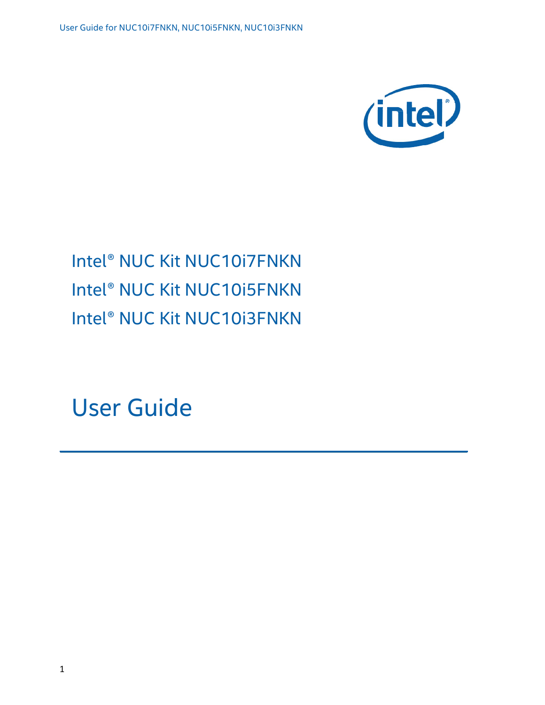

# Intel® NUC Kit NUC10i7FNKN Intel® NUC Kit NUC10i5FNKN Intel® NUC Kit NUC10i3FNKN

User Guide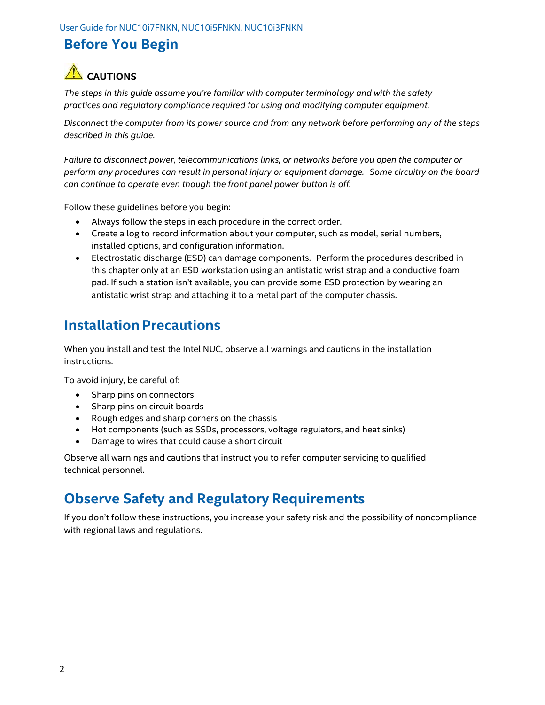#### Before You Begin

# $\triangle$  CAUTIONS

The steps in this guide assume you're familiar with computer terminology and with the safety practices and regulatory compliance required for using and modifying computer equipment.

Disconnect the computer from its power source and from any network before performing any of the steps described in this guide.

Failure to disconnect power, telecommunications links, or networks before you open the computer or perform any procedures can result in personal injury or equipment damage. Some circuitry on the board can continue to operate even though the front panel power button is off.

Follow these guidelines before you begin:

- Always follow the steps in each procedure in the correct order.
- Create a log to record information about your computer, such as model, serial numbers, installed options, and configuration information.
- Electrostatic discharge (ESD) can damage components. Perform the procedures described in this chapter only at an ESD workstation using an antistatic wrist strap and a conductive foam pad. If such a station isn't available, you can provide some ESD protection by wearing an antistatic wrist strap and attaching it to a metal part of the computer chassis.

#### Installation Precautions

When you install and test the Intel NUC, observe all warnings and cautions in the installation instructions.

To avoid injury, be careful of:

- Sharp pins on connectors
- Sharp pins on circuit boards
- Rough edges and sharp corners on the chassis
- Hot components (such as SSDs, processors, voltage regulators, and heat sinks)
- Damage to wires that could cause a short circuit

Observe all warnings and cautions that instruct you to refer computer servicing to qualified technical personnel.

#### Observe Safety and Regulatory Requirements

If you don't follow these instructions, you increase your safety risk and the possibility of noncompliance with regional laws and regulations.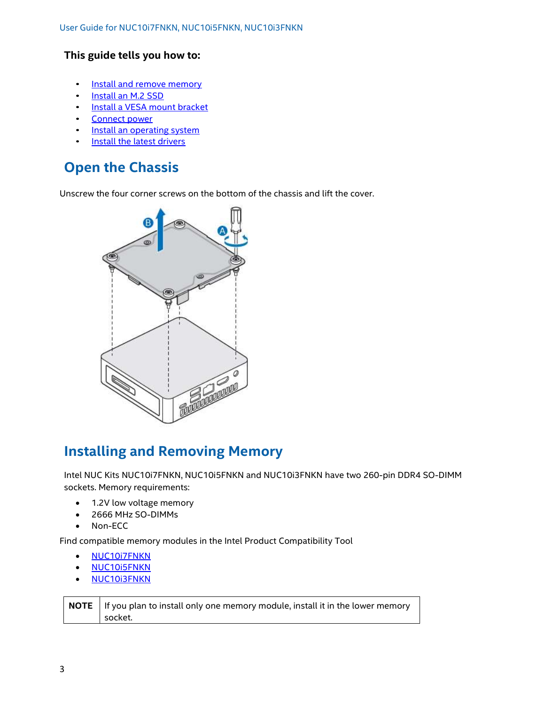#### This guide tells you how to:

- Install and remove memory
- Install an M.2 SSD
- Install a VESA mount bracket<br>Connect power
- 
- Install an operating system<br>Install the latest drivers
- 

## Open the Chassis

Unscrew the four corner screws on the bottom of the chassis and lift the cover.



### Installing and Removing Memory

Intel NUC Kits NUC10i7FNKN, NUC10i5FNKN and NUC10i3FNKN have two 260-pin DDR4 SO-DIMM sockets. Memory requirements:

- 1.2V low voltage memory
- 2666 MHz SO-DIMMs
- Non-ECC

Find compatible memory modules in the Intel Product Compatibility Tool

- NUC10i7FNKN
- NUC10i5FNKN
- NUC10i3FNKN

**NOTE** If you plan to install only one memory module, install it in the lower memory socket.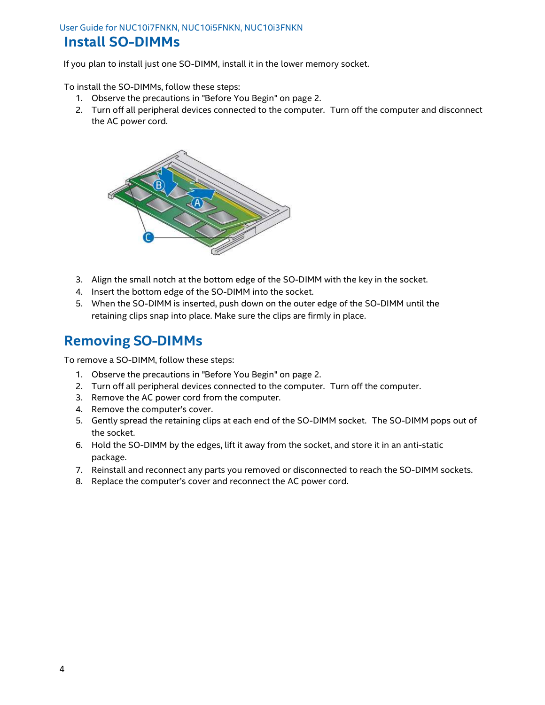#### User Guide for NUC10i7FNKN, NUC10i5FNKN, NUC10i3FNKN

#### Install SO-DIMMs

If you plan to install just one SO-DIMM, install it in the lower memory socket.

To install the SO-DIMMs, follow these steps:

- 1. Observe the precautions in "Before You Begin" on page 2.
- 2. Turn off all peripheral devices connected to the computer. Turn off the computer and disconnect the AC power cord.



- 3. Align the small notch at the bottom edge of the SO-DIMM with the key in the socket.
- 4. Insert the bottom edge of the SO-DIMM into the socket.
- 5. When the SO-DIMM is inserted, push down on the outer edge of the SO-DIMM until the retaining clips snap into place. Make sure the clips are firmly in place.

#### Removing SO-DIMMs

To remove a SO-DIMM, follow these steps:

- 1. Observe the precautions in "Before You Begin" on page 2.
- 2. Turn off all peripheral devices connected to the computer. Turn off the computer.
- 3. Remove the AC power cord from the computer.
- 4. Remove the computer's cover.
- 5. Gently spread the retaining clips at each end of the SO-DIMM socket. The SO-DIMM pops out of the socket.
- 6. Hold the SO-DIMM by the edges, lift it away from the socket, and store it in an anti-static package.
- 7. Reinstall and reconnect any parts you removed or disconnected to reach the SO-DIMM sockets.
- 8. Replace the computer's cover and reconnect the AC power cord.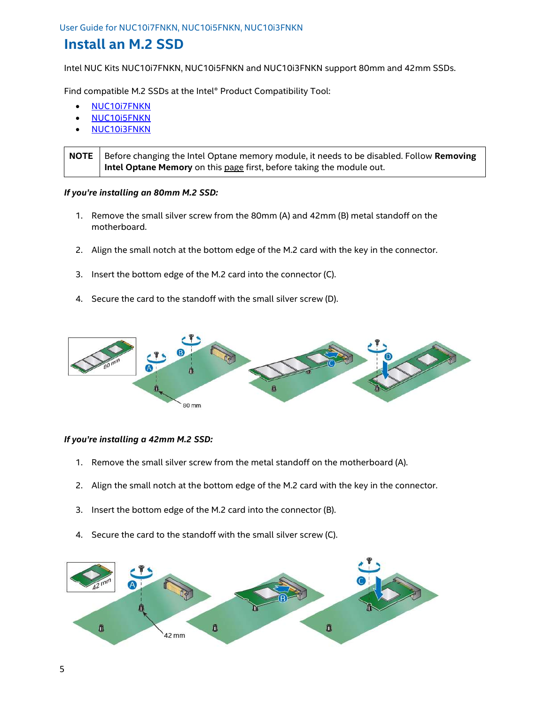#### Install an M.2 SSD

Intel NUC Kits NUC10i7FNKN, NUC10i5FNKN and NUC10i3FNKN support 80mm and 42mm SSDs.

Find compatible M.2 SSDs at the Intel® Product Compatibility Tool:

- NUC10i7FNKN
- NUC10i5FNKN
- NUC10i3FNKN

NOTE  $\vert$  Before changing the Intel Optane memory module, it needs to be disabled. Follow Removing Intel Optane Memory on this page first, before taking the module out.

#### If you're installing an 80mm M.2 SSD:

- 1. Remove the small silver screw from the 80mm (A) and 42mm (B) metal standoff on the motherboard.
- 2. Align the small notch at the bottom edge of the M.2 card with the key in the connector.
- 3. Insert the bottom edge of the M.2 card into the connector (C).
- 4. Secure the card to the standoff with the small silver screw (D).



#### If you're installing a 42mm M.2 SSD:

- 1. Remove the small silver screw from the metal standoff on the motherboard (A).
- 2. Align the small notch at the bottom edge of the M.2 card with the key in the connector.
- 3. Insert the bottom edge of the M.2 card into the connector (B).
- 4. Secure the card to the standoff with the small silver screw (C).

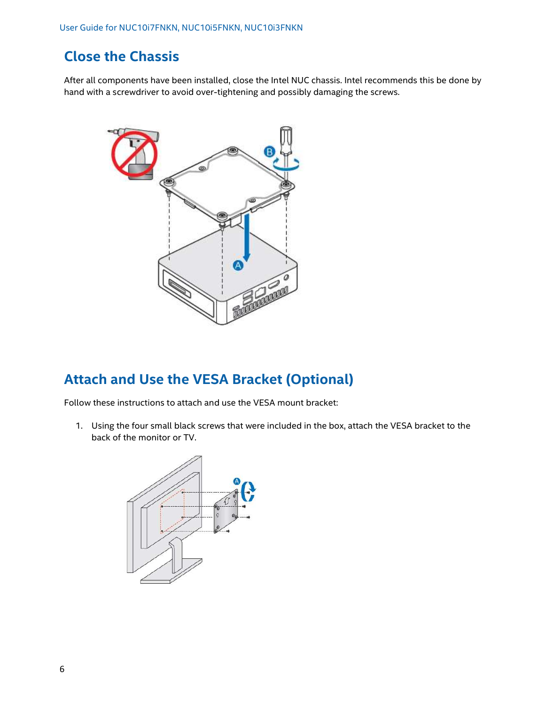## Close the Chassis

After all components have been installed, close the Intel NUC chassis. Intel recommends this be done by hand with a screwdriver to avoid over-tightening and possibly damaging the screws.



### Attach and Use the VESA Bracket (Optional)

Follow these instructions to attach and use the VESA mount bracket:

1. Using the four small black screws that were included in the box, attach the VESA bracket to the back of the monitor or TV.

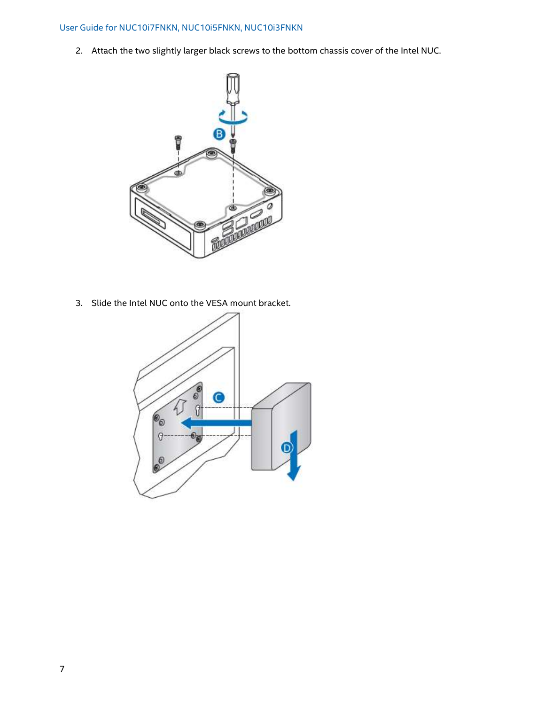#### User Guide for NUC10i7FNKN, NUC10i5FNKN, NUC10i3FNKN

2. Attach the two slightly larger black screws to the bottom chassis cover of the Intel NUC.



3. Slide the Intel NUC onto the VESA mount bracket.

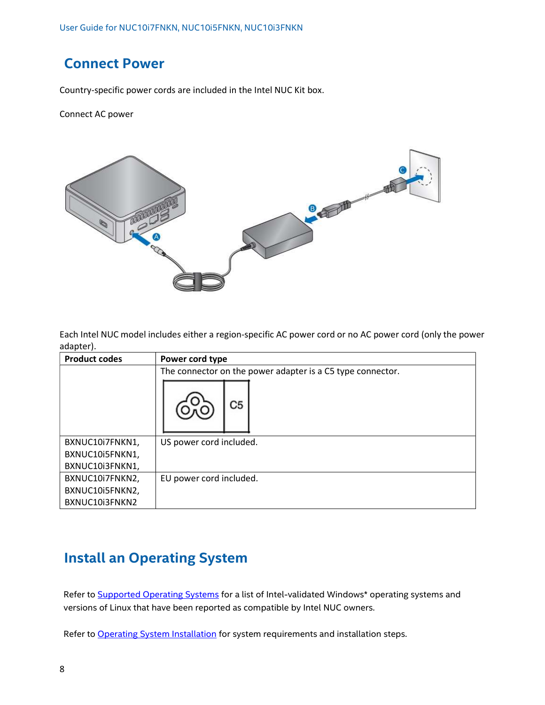#### Connect Power

Country-specific power cords are included in the Intel NUC Kit box.

Connect AC power



Each Intel NUC model includes either a region-specific AC power cord or no AC power cord (only the power adapter).

| <b>Product codes</b> | Power cord type                                            |
|----------------------|------------------------------------------------------------|
|                      | The connector on the power adapter is a C5 type connector. |
|                      | C5                                                         |
| BXNUC10i7FNKN1,      | US power cord included.                                    |
| BXNUC10i5FNKN1,      |                                                            |
| BXNUC10i3FNKN1,      |                                                            |
| BXNUC10i7FNKN2,      | EU power cord included.                                    |
| BXNUC10i5FNKN2,      |                                                            |
| BXNUC10i3FNKN2       |                                                            |

### Install an Operating System

Refer to Supported Operating Systems for a list of Intel-validated Windows\* operating systems and versions of Linux that have been reported as compatible by Intel NUC owners.

Refer to Operating System Installation for system requirements and installation steps.